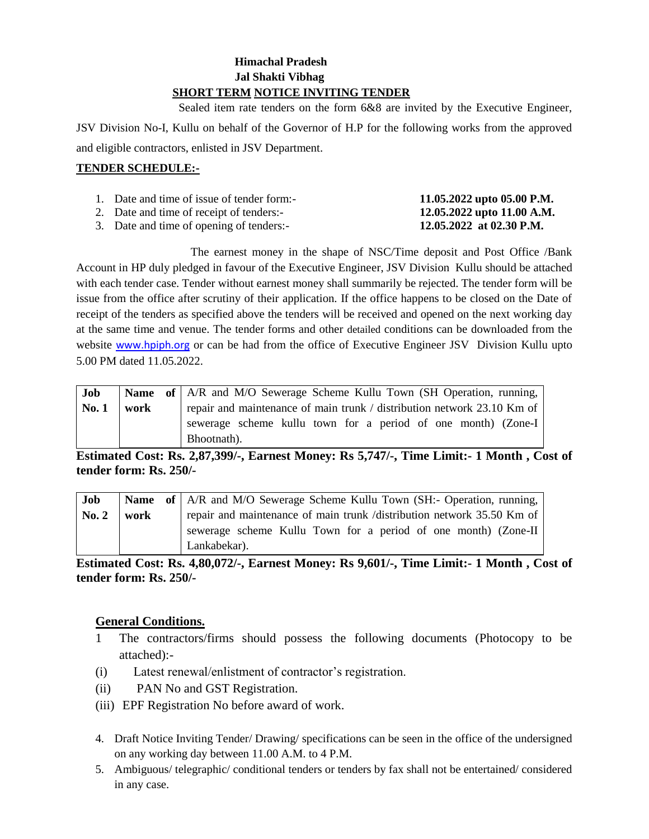# **Himachal Pradesh Jal Shakti Vibhag SHORT TERM NOTICE INVITING TENDER**

 Sealed item rate tenders on the form 6&8 are invited by the Executive Engineer, JSV Division No-I, Kullu on behalf of the Governor of H.P for the following works from the approved and eligible contractors, enlisted in JSV Department.

# **TENDER SCHEDULE:-**

| 1. Date and time of issue of tender form:- | 11.05.2022 upto 05.00 P.M. |
|--------------------------------------------|----------------------------|
| 2. Date and time of receipt of tenders:-   | 12.05.2022 upto 11.00 A.M. |
| 3. Date and time of opening of tenders:-   | 12.05.2022 at 02.30 P.M.   |

The earnest money in the shape of NSC/Time deposit and Post Office /Bank Account in HP duly pledged in favour of the Executive Engineer, JSV Division Kullu should be attached with each tender case. Tender without earnest money shall summarily be rejected. The tender form will be issue from the office after scrutiny of their application. If the office happens to be closed on the Date of receipt of the tenders as specified above the tenders will be received and opened on the next working day at the same time and venue. The tender forms and other detailed conditions can be downloaded from the website [www.hpiph.org](http://www.hpiph.org/) or can be had from the office of Executive Engineer JSV Division Kullu upto 5.00 PM dated 11.05.2022.

| Job   |      | Name of   A/R and M/O Sewerage Scheme Kullu Town (SH Operation, running, |
|-------|------|--------------------------------------------------------------------------|
| No. 1 | work | repair and maintenance of main trunk / distribution network 23.10 Km of  |
|       |      | sewerage scheme kullu town for a period of one month) (Zone-I            |
|       |      | Bhootnath).                                                              |

**Estimated Cost: Rs. 2,87,399/-, Earnest Money: Rs 5,747/-, Time Limit:- 1 Month , Cost of tender form: Rs. 250/-**

| Job              |      | <b>Name</b> of   A/R and M/O Sewerage Scheme Kullu Town (SH:- Operation, running, |
|------------------|------|-----------------------------------------------------------------------------------|
| $\mathbf{No.} 2$ | work | repair and maintenance of main trunk /distribution network 35.50 Km of            |
|                  |      | sewerage scheme Kullu Town for a period of one month) (Zone-II                    |
|                  |      | Lankabekar).                                                                      |

**Estimated Cost: Rs. 4,80,072/-, Earnest Money: Rs 9,601/-, Time Limit:- 1 Month , Cost of tender form: Rs. 250/-**

# **General Conditions.**

- 1 The contractors/firms should possess the following documents (Photocopy to be attached):-
- (i) Latest renewal/enlistment of contractor's registration.
- (ii) PAN No and GST Registration.
- (iii) EPF Registration No before award of work.
- 4. Draft Notice Inviting Tender/ Drawing/ specifications can be seen in the office of the undersigned on any working day between 11.00 A.M. to 4 P.M.
- 5. Ambiguous/ telegraphic/ conditional tenders or tenders by fax shall not be entertained/ considered in any case.